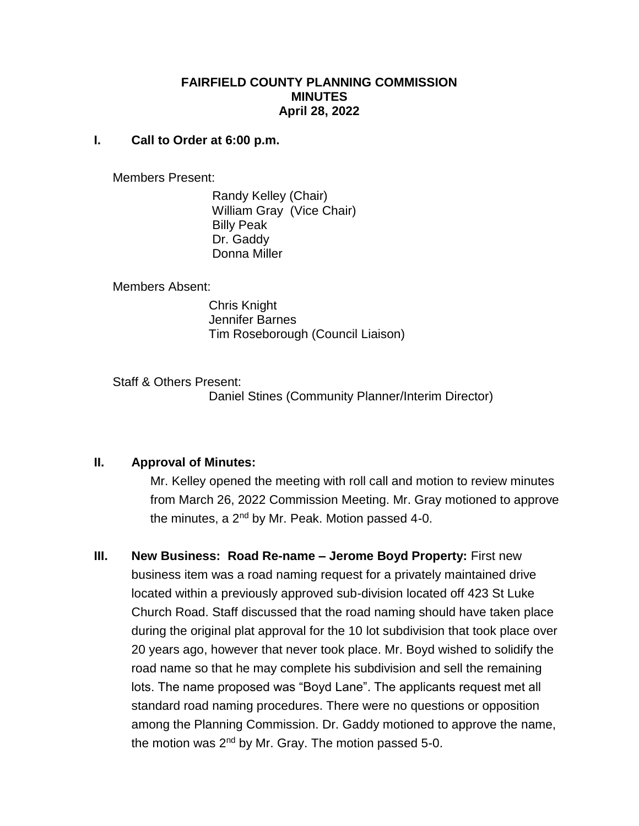#### **FAIRFIELD COUNTY PLANNING COMMISSION MINUTES April 28, 2022**

#### **I. Call to Order at 6:00 p.m.**

Members Present:

 Randy Kelley (Chair) William Gray (Vice Chair) Billy Peak Dr. Gaddy Donna Miller

Members Absent:

 Chris Knight Jennifer Barnes Tim Roseborough (Council Liaison)

Staff & Others Present: Daniel Stines (Community Planner/Interim Director)

### **II. Approval of Minutes:**

Mr. Kelley opened the meeting with roll call and motion to review minutes from March 26, 2022 Commission Meeting. Mr. Gray motioned to approve the minutes, a  $2^{nd}$  by Mr. Peak. Motion passed 4-0.

**III. New Business: Road Re-name – Jerome Boyd Property:** First new business item was a road naming request for a privately maintained drive located within a previously approved sub-division located off 423 St Luke Church Road. Staff discussed that the road naming should have taken place during the original plat approval for the 10 lot subdivision that took place over 20 years ago, however that never took place. Mr. Boyd wished to solidify the road name so that he may complete his subdivision and sell the remaining lots. The name proposed was "Boyd Lane". The applicants request met all standard road naming procedures. There were no questions or opposition among the Planning Commission. Dr. Gaddy motioned to approve the name, the motion was  $2^{nd}$  by Mr. Gray. The motion passed 5-0.